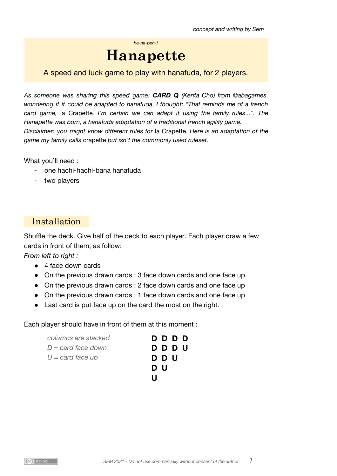*concept and writing by Sem*

*ha-na-peh-t*

# **Hanapette**

A speed and luck game to play with hanafuda, for 2 players.

*As someone was sharing this speed game: [CARD](http://warpdoor.com/2021/02/14/card-q/) Q [\(Kenta](http://warpdoor.com/2021/02/14/card-q/) Cho) from [@abagames](https://twitter.com/abagames/status/1360797819074793474), wondering if it could be adapted to hanafuda, I thought: "That reminds me of a french card game,* la Crapette*. I'm certain we can adapt it using the family rules...". The Hanapette was born, a hanafuda adaptation of a traditional french agility game. Disclaimer: you might know different rules for* la Crapette*. Here is an adaptation of the game my family calls* crapette *but isn't the commonly used ruleset.*

What you'll need :

- one hachi-hachi-bana hanafuda
- two players

# Installation

Shuffle the deck. Give half of the deck to each player. Each player draw a few cards in front of them, as follow:

*From left to right :*

- 4 face down cards
- On the previous drawn cards : 3 face down cards and one face up
- On the previous drawn cards : 2 face down cards and one face up
- On the previous drawn cards : 1 face down cards and one face up
- Last card is put face up on the card the most on the right.

Each player should have in front of them at this moment :

| columns are stacked         | D D D D |
|-----------------------------|---------|
| $D = \text{card face}$ down | D D D U |
| $U = \text{card face up}$   | D D U   |
|                             | D U     |
|                             | Ш       |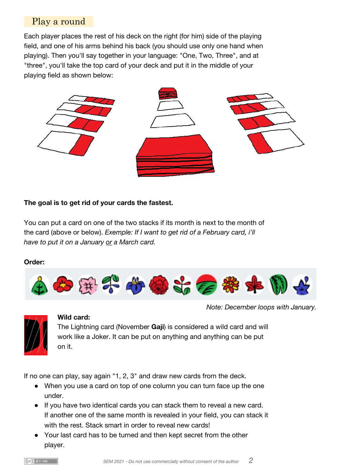## Play a round

Each player places the rest of his deck on the right (for him) side of the playing field, and one of his arms behind his back (you should use only one hand when playing). Then you'll say together in your language: "One, Two, Three", and at "three", you'll take the top card of your deck and put it in the middle of your playing field as shown below:



## **The goal is to get rid of your cards the fastest.**

You can put a card on one of the two stacks if its month is next to the month of the card (above or below). *Exemple: If I want to get rid of a February card, i'll have to put it on a January or a March card.*

#### **Order:**



*Note: December loops with January.*



#### **Wild card:**

The Lightning card (November **Gaji**) is considered a wild card and will work like a Joker. It can be put on anything and anything can be put on it.

If no one can play, say again "1, 2, 3" and draw new cards from the deck.

- When you use a card on top of one column you can turn face up the one under.
- If you have two identical cards you can stack them to reveal a new card. If another one of the same month is revealed in your field, you can stack it with the rest. Stack smart in order to reveal new cards!
- Your last card has to be turned and then kept secret from the other player.